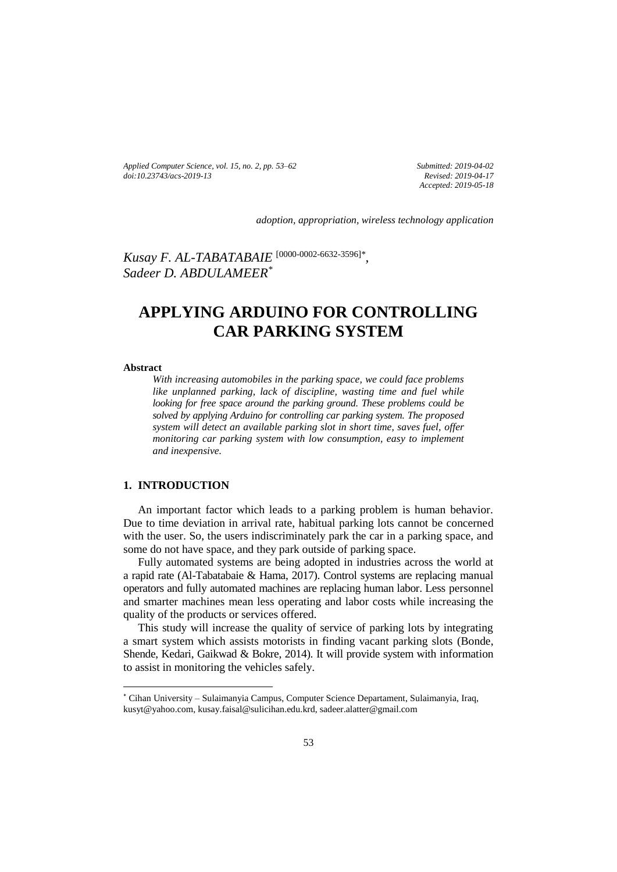*Applied Computer Science, vol. 15, no. 2, pp. 53–62 [doi:10.23743/acs-2019-13](http://acs.pollub.pl/pdf/v15n2/5.pdf)*

*Submitted: 2019-04-02 Revised: 2019-04-17 Accepted: 2019-05-18*

*adoption, appropriation, wireless technology application*

*Kusay F. AL-TABATABAIE* [\[0000-0002-6632-3596\]](https://orcid.org/0000-0002-6632-3596)*\* , Sadeer D. ABDULAMEER\**

# **APPLYING ARDUINO FOR CONTROLLING CAR PARKING SYSTEM**

#### **Abstract**

 $\overline{\phantom{a}}$ 

*With increasing automobiles in the parking space, we could face problems like unplanned parking, lack of discipline, wasting time and fuel while looking for free space around the parking ground. These problems could be solved by applying Arduino for controlling car parking system. The proposed system will detect an available parking slot in short time, saves fuel, offer monitoring car parking system with low consumption, easy to implement and inexpensive.*

#### **1. INTRODUCTION**

An important factor which leads to a parking problem is human behavior. Due to time deviation in arrival rate, habitual parking lots cannot be concerned with the user. So, the users indiscriminately park the car in a parking space, and some do not have space, and they park outside of parking space.

Fully automated systems are being adopted in industries across the world at a rapid rate (Al-Tabatabaie & Hama, 2017). Control systems are replacing manual operators and fully automated machines are replacing human labor. Less personnel and smarter machines mean less operating and labor costs while increasing the quality of the products or services offered.

This study will increase the quality of service of parking lots by integrating a smart system which assists motorists in finding vacant parking slots (Bonde, Shende, Kedari, Gaikwad & Bokre, 2014). It will provide system with information to assist in monitoring the vehicles safely.

<sup>\*</sup> Cihan University – Sulaimanyia Campus, Computer Science Departament, Sulaimanyia, Iraq, [kusyt@yahoo.com,](mailto:kusyt@yahoo.com) kusay.faisal@sulicihan.edu.krd, sadeer.alatter@gmail.com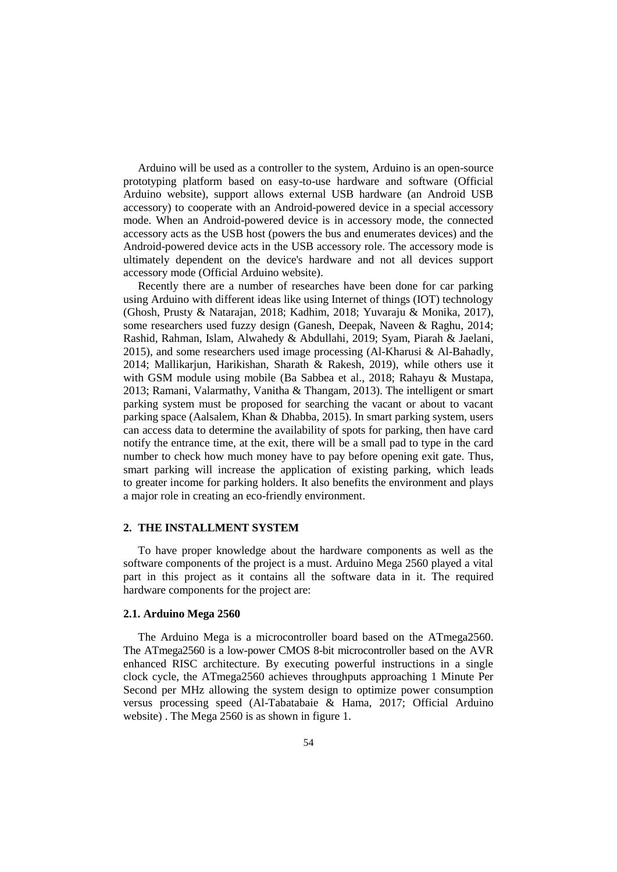Arduino will be used as a controller to the system, Arduino is an open-source prototyping platform based on easy-to-use hardware and software (Official Arduino website), support allows external USB hardware (an Android USB accessory) to cooperate with an Android-powered device in a special accessory mode. When an Android-powered device is in accessory mode, the connected accessory acts as the USB host (powers the bus and enumerates devices) and the Android-powered device acts in the USB accessory role. The accessory mode is ultimately dependent on the device's hardware and not all devices support accessory mode (Official Arduino website).

Recently there are a number of researches have been done for car parking using Arduino with different ideas like using Internet of things (IOT) technology [\(Ghosh,](https://www.researchgate.net/profile/Samit_Ghosh6?_sg=Cj4tz5xnmTmqU7VA9CkE6kBMgMAr9YzRJuXs05p4HiVBTGCFIbKV0Q2-yNbLeZx7gsA59EQ.M0xv4a5WWLBzO0FPCNpzJG7xD77u1i_gvvoJFD98M1TZkjfRwJ8DfkvZI9j3X0wnymKS4e6ipAO7Ta4Ep223UA) [Prusty](https://www.researchgate.net/profile/Sankata_Prusty2?_sg=Cj4tz5xnmTmqU7VA9CkE6kBMgMAr9YzRJuXs05p4HiVBTGCFIbKV0Q2-yNbLeZx7gsA59EQ.M0xv4a5WWLBzO0FPCNpzJG7xD77u1i_gvvoJFD98M1TZkjfRwJ8DfkvZI9j3X0wnymKS4e6ipAO7Ta4Ep223UA) & [Natarajan,](https://www.researchgate.net/profile/P_B_Natarajan?_sg=Cj4tz5xnmTmqU7VA9CkE6kBMgMAr9YzRJuXs05p4HiVBTGCFIbKV0Q2-yNbLeZx7gsA59EQ.M0xv4a5WWLBzO0FPCNpzJG7xD77u1i_gvvoJFD98M1TZkjfRwJ8DfkvZI9j3X0wnymKS4e6ipAO7Ta4Ep223UA) 2018; Kadhim, 2018; Yuvaraju & Monika, 2017), some researchers used fuzzy design (Ganesh, Deepak, Naveen & Raghu, 2014; Rashid, Rahman, Islam, Alwahedy & Abdullahi, 2019; [Syam,](https://www.researchgate.net/profile/Rafiuddin_Syam?_sg=wJQY6SN5QV3wWLk0O0xZUCTYAWGL33yi5TcSZzrcOZHAI3BvIjTVRlIsEAX3JXwol9K6suA.hdN1H7LYALwrAKK0gEFEBY25dWemx8GlljR7RF6po3v5-rm9m-x5PiqucUpN5e3gZ5u8NlOfvT86WB6Njj9ZaA) [Piarah](https://www.researchgate.net/profile/Wahyu_Piarah?_sg=wJQY6SN5QV3wWLk0O0xZUCTYAWGL33yi5TcSZzrcOZHAI3BvIjTVRlIsEAX3JXwol9K6suA.hdN1H7LYALwrAKK0gEFEBY25dWemx8GlljR7RF6po3v5-rm9m-x5PiqucUpN5e3gZ5u8NlOfvT86WB6Njj9ZaA) & [Jaelani,](https://www.researchgate.net/scientific-contributions/2124572430_Budi_Jaelani?_sg=wJQY6SN5QV3wWLk0O0xZUCTYAWGL33yi5TcSZzrcOZHAI3BvIjTVRlIsEAX3JXwol9K6suA.hdN1H7LYALwrAKK0gEFEBY25dWemx8GlljR7RF6po3v5-rm9m-x5PiqucUpN5e3gZ5u8NlOfvT86WB6Njj9ZaA) 2015), and some researchers used image processing [\(Al-Kharusi](https://www.researchgate.net/scientific-contributions/2070996932_Hilal_Al-Kharusi?_sg=9b4NKXBxescq70maAxR8XoxU2GF5U4zOvcLrsxNp9-sXmxtRJ6IL1Bm0UMLU5iXEkRXmebQ.jeqeaFjo50M0BGCbIqQIX0CjUcx9q8wMo2H26v4WHDbT8OQUywbDzmZtO3ybQMy5lm2pv56091o_lfF-oiCUnA) & [Al-Bahadly,](https://www.researchgate.net/profile/Ibrahim_Al-Bahadly?_sg=9b4NKXBxescq70maAxR8XoxU2GF5U4zOvcLrsxNp9-sXmxtRJ6IL1Bm0UMLU5iXEkRXmebQ.jeqeaFjo50M0BGCbIqQIX0CjUcx9q8wMo2H26v4WHDbT8OQUywbDzmZtO3ybQMy5lm2pv56091o_lfF-oiCUnA) 2014; [Mallikarjun,](https://www.researchgate.net/scientific-contributions/2151584597_G_Mallikarjun?_sg=eqyZjXC7ySbESNS9R_ijmZTedX8UQtkrOBbGQXa13CWpiR5jj6HHOM8srI4SrvM2TwJsPcc.ijVjA0sHFp4-2uSCG8JsAB0VP6Lwl4vYq59Vo5T1KEX6Xkqdz7FI1ct2GEleP_lPZUCi_Ig_sZ3vY7SG065fLQ) Harikishan, Sharath & Rakesh, 2019), while others use it with GSM module using mobile (Ba Sabbea et al., 2018; [Rahayu](https://www.researchgate.net/profile/Yusnita_Rahayu?_sg=zTMa5e6WKHmaE3SBYzU4QDXnyFaOYR4g6YEz3TBjglzTGPRGRlgzksCGYZ35Mxr0hoWee4Q.zXQobo-fgNTqx2w51DxmcCSf01rIR6OmXtjLE4pPbx6C1G7sdgL6e2h2AAqVMRsy162fdQQbyRbIuiES4H6IRw) & Mustapa, 2013; [Ramani,](https://www.researchgate.net/scientific-contributions/2037049323_R_Ramani?_sg=mcMoAzQjuWkuIvfBhsBxNV2Er3AeM6rQdRI-d9wchju4S8KXtTYMpAezWBPZq0vrr7op_vs.ZpQCrCTC61kkmC2JUisCRnyElAexNyuLH0L3yvRlyGID4_5jooPhtovXNQe5fdIfcXVk2aDDoCwYJRFhmhT4Mg) [Valarmathy,](https://www.researchgate.net/scientific-contributions/2037427610_S_Valarmathy?_sg=mcMoAzQjuWkuIvfBhsBxNV2Er3AeM6rQdRI-d9wchju4S8KXtTYMpAezWBPZq0vrr7op_vs.ZpQCrCTC61kkmC2JUisCRnyElAexNyuLH0L3yvRlyGID4_5jooPhtovXNQe5fdIfcXVk2aDDoCwYJRFhmhT4Mg) [Vanitha](https://www.researchgate.net/scientific-contributions/2061205597_N_SuthanthiraVanitha?_sg=mcMoAzQjuWkuIvfBhsBxNV2Er3AeM6rQdRI-d9wchju4S8KXtTYMpAezWBPZq0vrr7op_vs.ZpQCrCTC61kkmC2JUisCRnyElAexNyuLH0L3yvRlyGID4_5jooPhtovXNQe5fdIfcXVk2aDDoCwYJRFhmhT4Mg) & [Thangam,](https://www.researchgate.net/scientific-contributions/2061231415_R_Thangam?_sg=mcMoAzQjuWkuIvfBhsBxNV2Er3AeM6rQdRI-d9wchju4S8KXtTYMpAezWBPZq0vrr7op_vs.ZpQCrCTC61kkmC2JUisCRnyElAexNyuLH0L3yvRlyGID4_5jooPhtovXNQe5fdIfcXVk2aDDoCwYJRFhmhT4Mg) 2013). The intelligent or smart parking system must be proposed for searching the vacant or about to vacant parking space (Aalsalem, Khan & Dhabba, 2015). In smart parking system, users can access data to determine the availability of spots for parking, then have card notify the entrance time, at the exit, there will be a small pad to type in the card number to check how much money have to pay before opening exit gate. Thus, smart parking will increase the application of existing parking, which leads to greater income for parking holders. It also benefits the environment and plays a major role in creating an eco-friendly environment.

## **2. THE INSTALLMENT SYSTEM**

To have proper knowledge about the hardware components as well as the software components of the project is a must. Arduino Mega 2560 played a vital part in this project as it contains all the software data in it. The required hardware components for the project are:

## **2.1. Arduino Mega 2560**

The Arduino Mega is a microcontroller board based on the [ATmega2560.](https://www.element14.com/community/view-product.jspa?fsku=1288330&nsku=68T2776&COM=noscript) The ATmega2560 is a low-power CMOS 8-bit microcontroller based on the AVR enhanced RISC architecture. By executing powerful instructions in a single clock cycle, the [ATmega2560](https://www.element14.com/community/view-product.jspa?fsku=1288330&nsku=68T2776&COM=noscript) achieves throughputs approaching 1 Minute Per Second per MHz allowing the system design to optimize power consumption versus processing speed (Al-Tabatabaie & Hama, 2017; Official Arduino website) . The Mega 2560 is as shown in figure 1.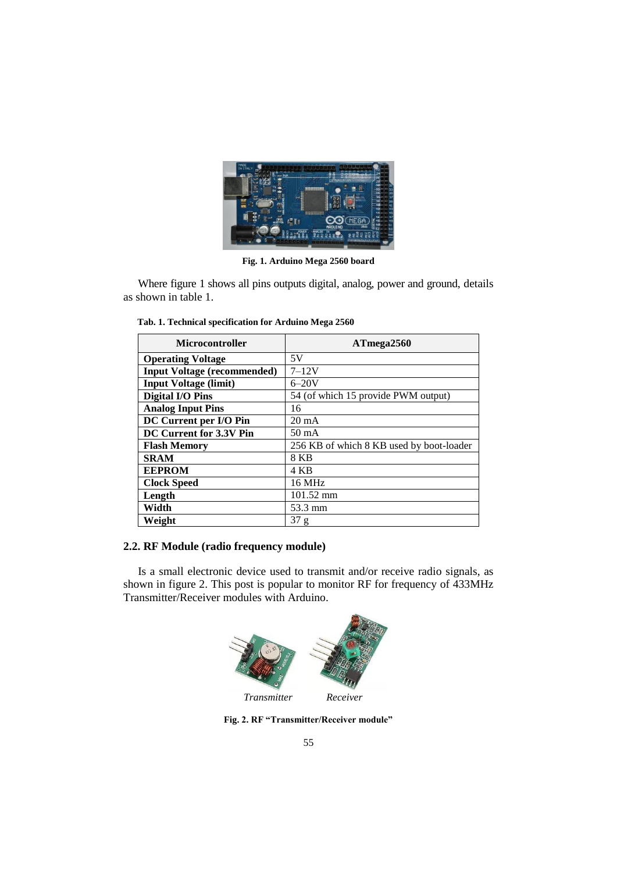

**Fig. 1. Arduino Mega 2560 board**

Where figure 1 shows all pins outputs digital, analog, power and ground, details as shown in table 1.

| <b>Microcontroller</b>             | ATmega2560                               |  |
|------------------------------------|------------------------------------------|--|
| <b>Operating Voltage</b>           | 5V                                       |  |
| <b>Input Voltage (recommended)</b> | $7 - 12V$                                |  |
| <b>Input Voltage (limit)</b>       | $6 - 20V$                                |  |
| <b>Digital I/O Pins</b>            | 54 (of which 15 provide PWM output)      |  |
| <b>Analog Input Pins</b>           | 16                                       |  |
| DC Current per I/O Pin             | $20 \text{ mA}$                          |  |
| DC Current for 3.3V Pin            | $50 \text{ mA}$                          |  |
| <b>Flash Memory</b>                | 256 KB of which 8 KB used by boot-loader |  |
| <b>SRAM</b>                        | 8 KB                                     |  |
| <b>EEPROM</b>                      | 4 KB                                     |  |
| <b>Clock Speed</b>                 | 16 MHz                                   |  |
| Length                             | $101.52 \text{ mm}$                      |  |
| Width                              | 53.3 mm                                  |  |
| Weight                             | 37 g                                     |  |

 **Tab. 1. Technical specification for Arduino Mega 2560**

# **2.2. RF Module (radio frequency module)**

Is a small electronic device used to transmit and/or receive radio signals, as shown in figure 2. This post is popular to monitor RF for frequency of 433MHz Transmitter/Receiver modules with Arduino.



**Fig. 2. RF "Transmitter/Receiver module"**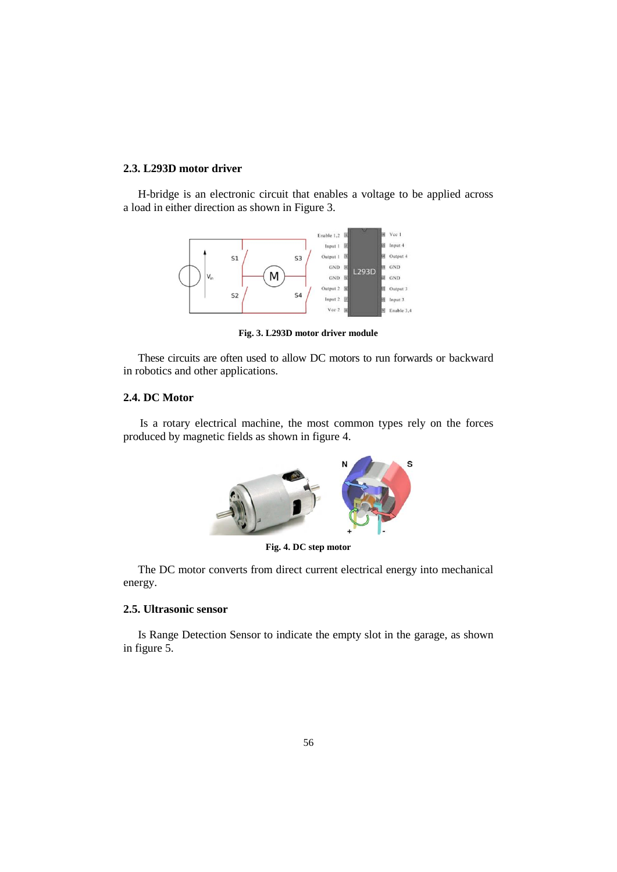## **2.3. L293D motor driver**

H-bridge is an electronic circuit that enables a voltage to be applied across a load in either direction as shown in Figure 3.



**Fig. 3. L293D motor driver module**

These circuits are often used to allow DC motors to run forwards or backward in robotics and other applications.

## **2.4. DC Motor**

Is a rotary electrical machine, the most common types rely on the forces produced by magnetic fields as shown in figure 4.



**Fig. 4. DC step motor**

The DC motor converts from direct current electrical energy into mechanical energy.

# **2.5. Ultrasonic sensor**

Is Range Detection Sensor to indicate the empty slot in the garage, as shown in figure 5.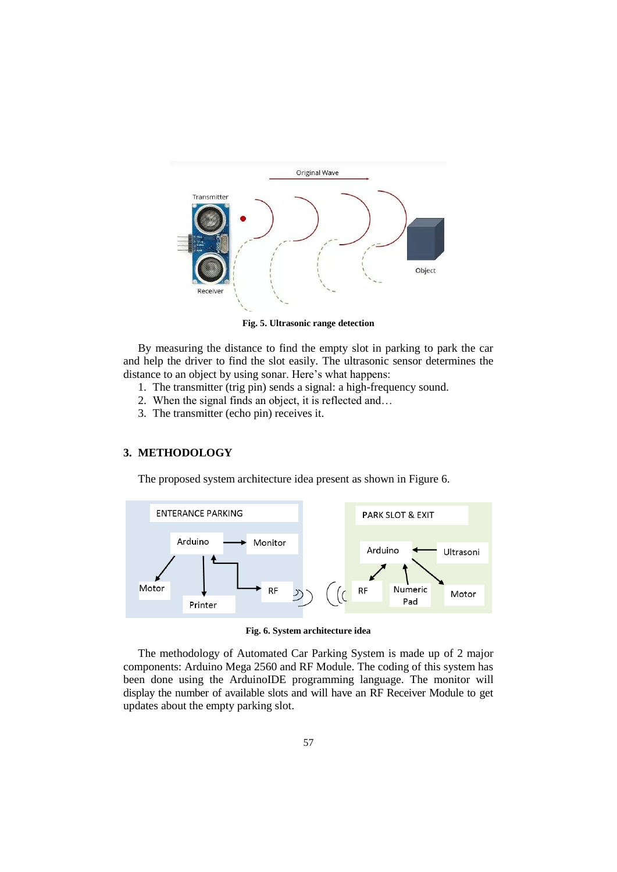

**Fig. 5. Ultrasonic range detection**

By measuring the distance to find the empty slot in parking to park the car and help the driver to find the slot easily. The ultrasonic sensor determines the distance to an object by using sonar. Here's what happens:

- 1. The transmitter (trig pin) sends a signal: a high-frequency sound.
- 2. When the signal finds an object, it is reflected and…
- 3. The transmitter (echo pin) receives it.

# **3. METHODOLOGY**

The proposed system architecture idea present as shown in Figure 6.



#### **Fig. 6. System architecture idea**

The methodology of Automated Car Parking System is made up of 2 major components: Arduino Mega 2560 and RF Module. The coding of this system has been done using the ArduinoIDE programming language. The monitor will display the number of available slots and will have an RF Receiver Module to get updates about the empty parking slot.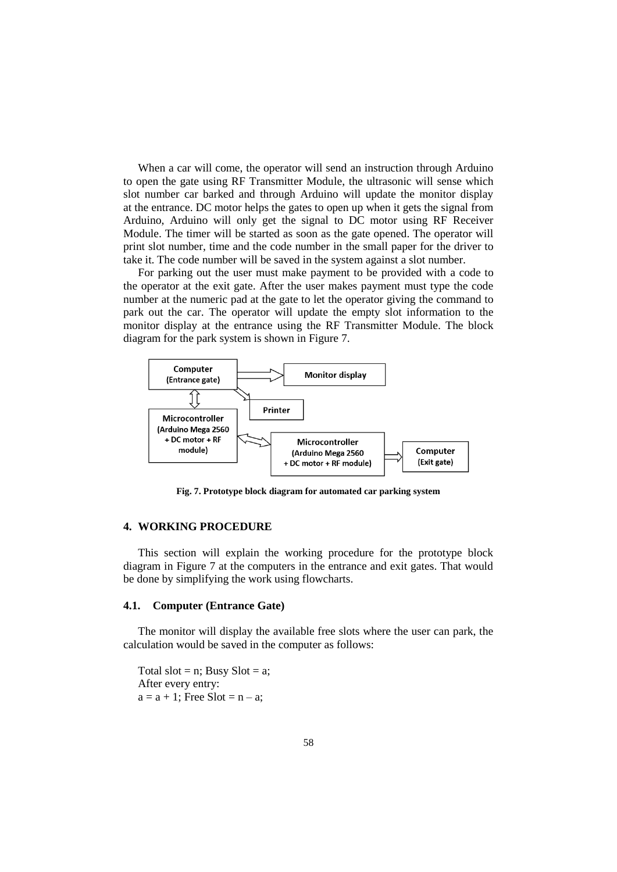When a car will come, the operator will send an instruction through Arduino to open the gate using RF Transmitter Module, the ultrasonic will sense which slot number car barked and through Arduino will update the monitor display at the entrance. DC motor helps the gates to open up when it gets the signal from Arduino, Arduino will only get the signal to DC motor using RF Receiver Module. The timer will be started as soon as the gate opened. The operator will print slot number, time and the code number in the small paper for the driver to take it. The code number will be saved in the system against a slot number.

For parking out the user must make payment to be provided with a code to the operator at the exit gate. After the user makes payment must type the code number at the numeric pad at the gate to let the operator giving the command to park out the car. The operator will update the empty slot information to the monitor display at the entrance using the RF Transmitter Module. The block diagram for the park system is shown in Figure 7.



**Fig. 7. Prototype block diagram for automated car parking system**

## **4. WORKING PROCEDURE**

This section will explain the working procedure for the prototype block diagram in Figure 7 at the computers in the entrance and exit gates. That would be done by simplifying the work using flowcharts.

## **4.1. Computer (Entrance Gate)**

The monitor will display the available free slots where the user can park, the calculation would be saved in the computer as follows:

Total slot = n; Busy  $Slot = a$ ; After every entry:  $a = a + 1$ ; Free Slot = n – a;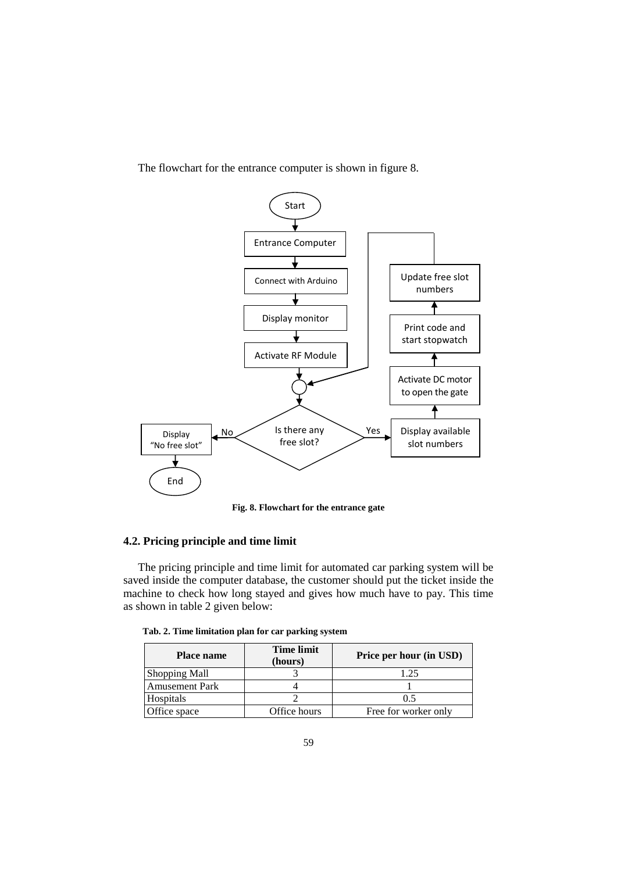

The flowchart for the entrance computer is shown in figure 8.

**Fig. 8. Flowchart for the entrance gate**

# **4.2. Pricing principle and time limit**

The pricing principle and time limit for automated car parking system will be saved inside the computer database, the customer should put the ticket inside the machine to check how long stayed and gives how much have to pay. This time as shown in table 2 given below:

| Tab. 2. Time limitation plan for car parking system |  |  |  |
|-----------------------------------------------------|--|--|--|
|-----------------------------------------------------|--|--|--|

| <b>Place name</b>     | <b>Time limit</b><br>(hours) | Price per hour (in USD) |
|-----------------------|------------------------------|-------------------------|
| <b>Shopping Mall</b>  |                              | 1.25                    |
| <b>Amusement Park</b> |                              |                         |
| Hospitals             |                              | 05                      |
| Office space          | Office hours                 | Free for worker only    |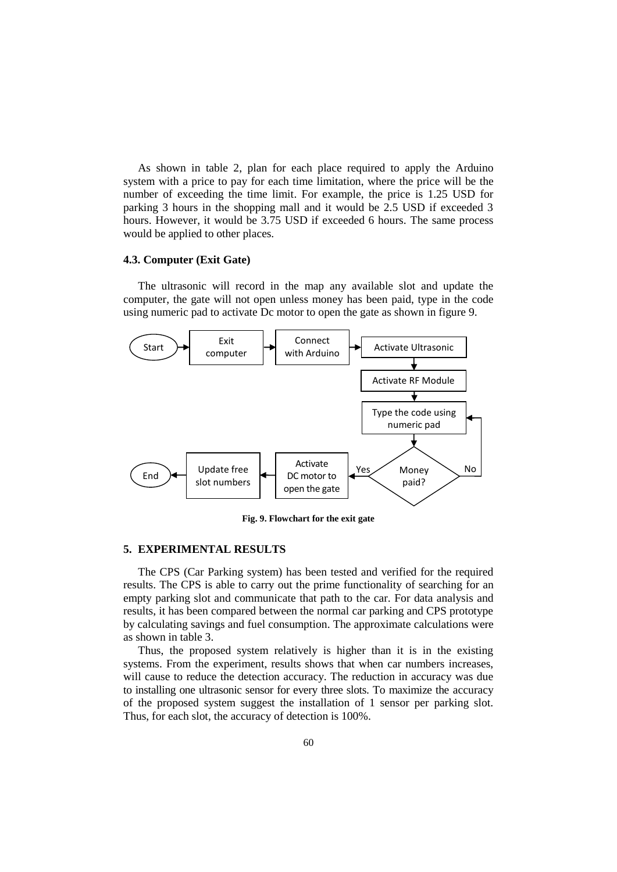As shown in table 2, plan for each place required to apply the Arduino system with a price to pay for each time limitation, where the price will be the number of exceeding the time limit. For example, the price is 1.25 USD for parking 3 hours in the shopping mall and it would be 2.5 USD if exceeded 3 hours. However, it would be 3.75 USD if exceeded 6 hours. The same process would be applied to other places.

## **4.3. Computer (Exit Gate)**

The ultrasonic will record in the map any available slot and update the computer, the gate will not open unless money has been paid, type in the code using numeric pad to activate Dc motor to open the gate as shown in figure 9.



**Fig. 9. Flowchart for the exit gate**

# **5. EXPERIMENTAL RESULTS**

The CPS (Car Parking system) has been tested and verified for the required results. The CPS is able to carry out the prime functionality of searching for an empty parking slot and communicate that path to the car. For data analysis and results, it has been compared between the normal car parking and CPS prototype by calculating savings and fuel consumption. The approximate calculations were as shown in table 3.

Thus, the proposed system relatively is higher than it is in the existing systems. From the experiment, results shows that when car numbers increases, will cause to reduce the detection accuracy. The reduction in accuracy was due to installing one ultrasonic sensor for every three slots. To maximize the accuracy of the proposed system suggest the installation of 1 sensor per parking slot. Thus, for each slot, the accuracy of detection is 100%.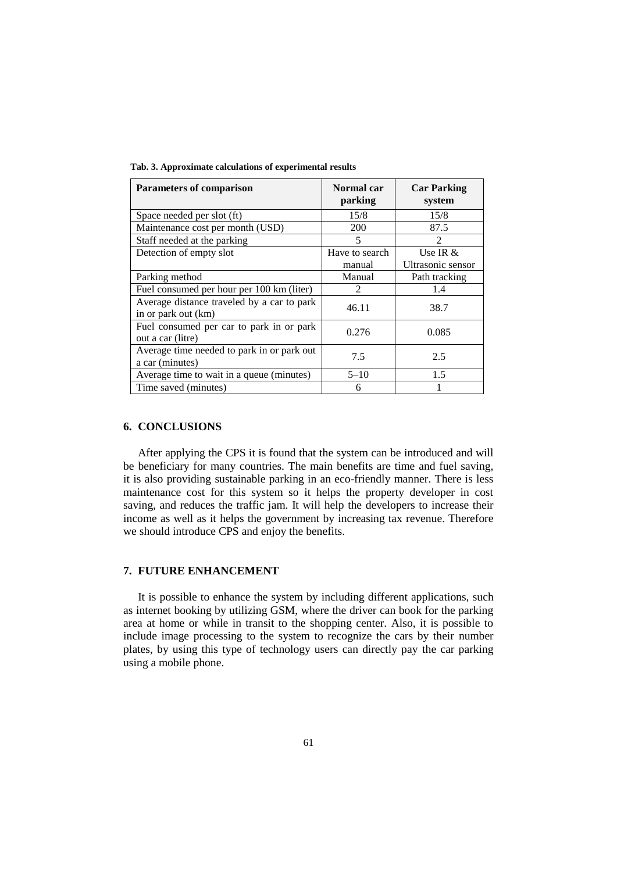**Tab. 3. Approximate calculations of experimental results**

| <b>Parameters of comparison</b>                                   | Normal car<br>parking | <b>Car Parking</b><br>system |
|-------------------------------------------------------------------|-----------------------|------------------------------|
| Space needed per slot (ft)                                        | 15/8                  | 15/8                         |
| Maintenance cost per month (USD)                                  | 200                   | 87.5                         |
| Staff needed at the parking                                       | 5                     | 2                            |
| Detection of empty slot                                           | Have to search        | Use IR $&$                   |
|                                                                   | manual                | Ultrasonic sensor            |
| Parking method                                                    | Manual                | Path tracking                |
| Fuel consumed per hour per 100 km (liter)                         | $\mathfrak{D}$        | 1.4                          |
| Average distance traveled by a car to park<br>in or park out (km) | 46.11                 | 38.7                         |
| Fuel consumed per car to park in or park<br>out a car (litre)     | 0.276                 | 0.085                        |
| Average time needed to park in or park out<br>a car (minutes)     | 7.5                   | 2.5                          |
| Average time to wait in a queue (minutes)                         | $5 - 10$              | 1.5                          |
| Time saved (minutes)                                              | 6                     |                              |

## **6. CONCLUSIONS**

After applying the CPS it is found that the system can be introduced and will be beneficiary for many countries. The main benefits are time and fuel saving, it is also providing sustainable parking in an eco-friendly manner. There is less maintenance cost for this system so it helps the property developer in cost saving, and reduces the traffic jam. It will help the developers to increase their income as well as it helps the government by increasing tax revenue. Therefore we should introduce CPS and enjoy the benefits.

## **7. FUTURE ENHANCEMENT**

It is possible to enhance the system by including different applications, such as internet booking by utilizing GSM, where the driver can book for the parking area at home or while in transit to the shopping center. Also, it is possible to include image processing to the system to recognize the cars by their number plates, by using this type of technology users can directly pay the car parking using a mobile phone.